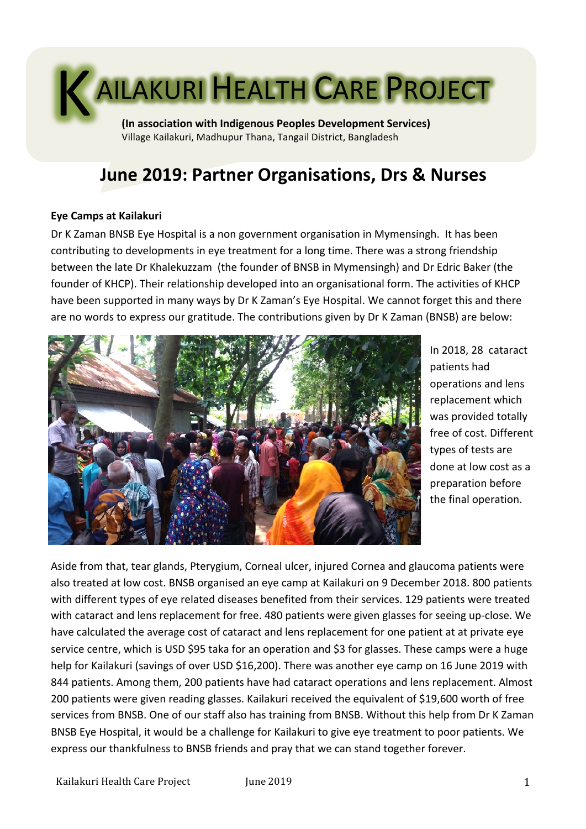# AILAKURI HEALTH CARE PROJECT K

**(In association with Indigenous Peoples Development Services)** Village Kailakuri, Madhupur Thana, Tangail District, Bangladesh

# **June 2019: Partner Organisations, Drs & Nurses**

#### **Eye Camps at Kailakuri**

Dr K Zaman BNSB Eye Hospital is a non government organisation in Mymensingh. It has been contributing to developments in eye treatment for a long time. There was a strong friendship between the late Dr Khalekuzzam (the founder of BNSB in Mymensingh) and Dr Edric Baker (the founder of KHCP). Their relationship developed into an organisational form. The activities of KHCP have been supported in many ways by Dr K Zaman's Eye Hospital. We cannot forget this and there are no words to express our gratitude. The contributions given by Dr K Zaman (BNSB) are below:



In 2018, 28 cataract patients had operations and lens replacement which was provided totally free of cost. Different types of tests are done at low cost as a preparation before the final operation.

Aside from that, tear glands, Pterygium, Corneal ulcer, injured Cornea and glaucoma patients were also treated at low cost. BNSB organised an eye camp at Kailakuri on 9 December 2018. 800 patients with different types of eye related diseases benefited from their services. 129 patients were treated with cataract and lens replacement for free. 480 patients were given glasses for seeing up-close. We have calculated the average cost of cataract and lens replacement for one patient at at private eye service centre, which is USD \$95 taka for an operation and \$3 for glasses. These camps were a huge help for Kailakuri (savings of over USD \$16,200). There was another eye camp on 16 June 2019 with 844 patients. Among them, 200 patients have had cataract operations and lens replacement. Almost 200 patients were given reading glasses. Kailakuri received the equivalent of \$19,600 worth of free services from BNSB. One of our staff also has training from BNSB. Without this help from Dr K Zaman BNSB Eye Hospital, it would be a challenge for Kailakuri to give eye treatment to poor patients. We express our thankfulness to BNSB friends and pray that we can stand together forever.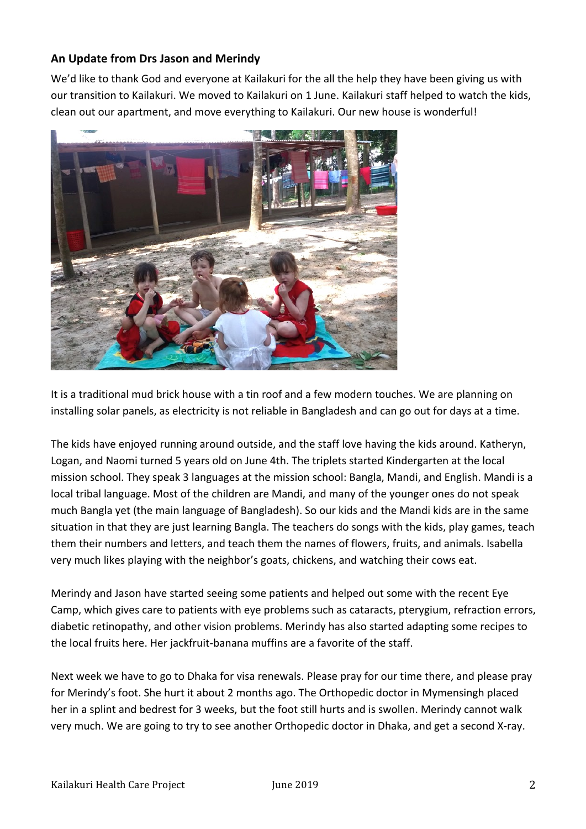### **An Update from Drs Jason and Merindy**

We'd like to thank God and everyone at Kailakuri for the all the help they have been giving us with our transition to Kailakuri. We moved to Kailakuri on 1 June. Kailakuri staff helped to watch the kids, clean out our apartment, and move everything to Kailakuri. Our new house is wonderful!



It is a traditional mud brick house with a tin roof and a few modern touches. We are planning on installing solar panels, as electricity is not reliable in Bangladesh and can go out for days at a time.

The kids have enjoyed running around outside, and the staff love having the kids around. Katheryn, Logan, and Naomi turned 5 years old on June 4th. The triplets started Kindergarten at the local mission school. They speak 3 languages at the mission school: Bangla, Mandi, and English. Mandi is a local tribal language. Most of the children are Mandi, and many of the younger ones do not speak much Bangla yet (the main language of Bangladesh). So our kids and the Mandi kids are in the same situation in that they are just learning Bangla. The teachers do songs with the kids, play games, teach them their numbers and letters, and teach them the names of flowers, fruits, and animals. Isabella very much likes playing with the neighbor's goats, chickens, and watching their cows eat.

Merindy and Jason have started seeing some patients and helped out some with the recent Eye Camp, which gives care to patients with eye problems such as cataracts, pterygium, refraction errors, diabetic retinopathy, and other vision problems. Merindy has also started adapting some recipes to the local fruits here. Her jackfruit-banana muffins are a favorite of the staff.

Next week we have to go to Dhaka for visa renewals. Please pray for our time there, and please pray for Merindy's foot. She hurt it about 2 months ago. The Orthopedic doctor in Mymensingh placed her in a splint and bedrest for 3 weeks, but the foot still hurts and is swollen. Merindy cannot walk very much. We are going to try to see another Orthopedic doctor in Dhaka, and get a second X-ray.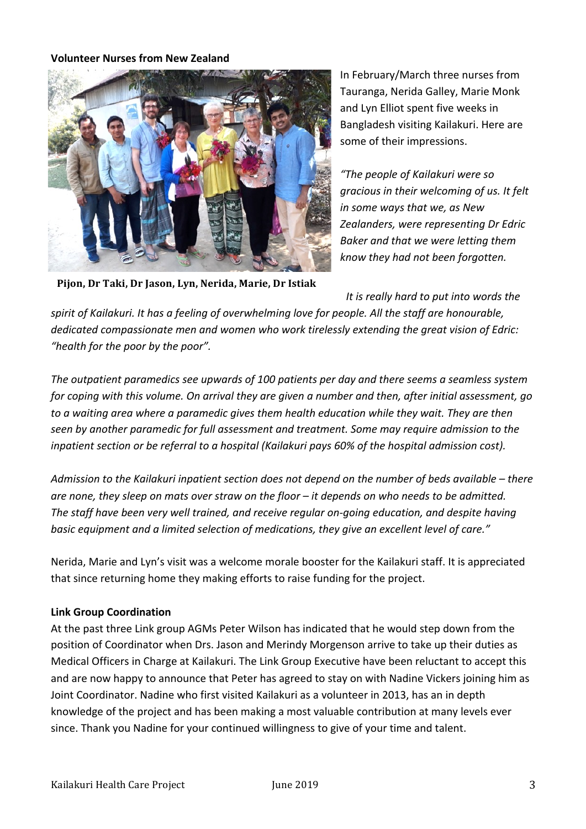#### **Volunteer Nurses from New Zealand**



In February/March three nurses from Tauranga, Nerida Galley, Marie Monk and Lyn Elliot spent five weeks in Bangladesh visiting Kailakuri. Here are some of their impressions.

*"The people of Kailakuri were so gracious in their welcoming of us. It felt in some ways that we, as New* **Zealanders, were representing Dr Edric** *Baker and that we were letting them know they had not been forgotten.* 

Pijon, Dr Taki, Dr Jason, Lyn, Nerida, Marie, Dr Istiak

*It is really hard to put into words the* 

spirit of Kailakuri. It has a feeling of overwhelming love for people. All the staff are honourable, dedicated compassionate men and women who work tirelessly extending the great vision of Edric: "health for the poor by the poor".

The outpatient paramedics see upwards of 100 patients per day and there seems a seamless system *for coping with this volume. On arrival they are given a number and then, after initial assessment, go* to a waiting area where a paramedic gives them health education while they wait. They are then seen by another paramedic for full assessment and treatment. Some may require admission to the inpatient section or be referral to a hospital (Kailakuri pays 60% of the hospital admission cost).

Admission to the Kailakuri inpatient section does not depend on the number of beds available – there are none, they sleep on mats over straw on the floor – it depends on who needs to be admitted. The staff have been very well trained, and receive regular on-going education, and despite having basic equipment and a limited selection of medications, they give an excellent level of care."

Nerida, Marie and Lyn's visit was a welcome morale booster for the Kailakuri staff. It is appreciated that since returning home they making efforts to raise funding for the project.

#### **Link Group Coordination**

At the past three Link group AGMs Peter Wilson has indicated that he would step down from the position of Coordinator when Drs. Jason and Merindy Morgenson arrive to take up their duties as Medical Officers in Charge at Kailakuri. The Link Group Executive have been reluctant to accept this and are now happy to announce that Peter has agreed to stay on with Nadine Vickers joining him as Joint Coordinator. Nadine who first visited Kailakuri as a volunteer in 2013, has an in depth knowledge of the project and has been making a most valuable contribution at many levels ever since. Thank you Nadine for your continued willingness to give of your time and talent.